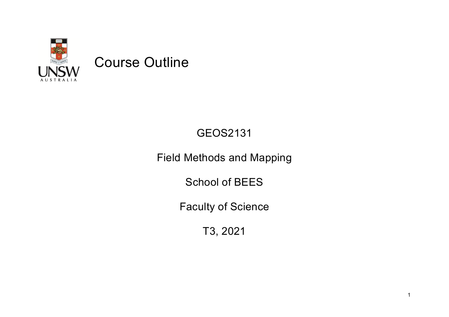

# GEOS2131

# Field Methods and Mapping

School of BEES

Faculty of Science

T3, 2021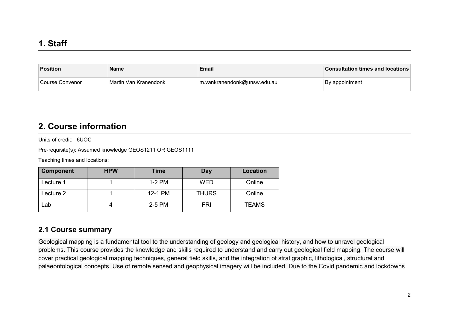| Position         | <b>Name</b>             | <b>Email</b>                | <b>Consultation times and locations</b> |
|------------------|-------------------------|-----------------------------|-----------------------------------------|
| ∣Course Convenor | ∣Martin Van Kranendonk_ | m.vankranendonk@unsw.edu.au | ∣By appointment                         |

### **2. Course information**

Units of credit: 6UOC

Pre-requisite(s): Assumed knowledge GEOS1211 OR GEOS1111

Teaching times and locations:

| <b>Component</b> | <b>HPW</b> | Time    | Day          | <b>Location</b> |
|------------------|------------|---------|--------------|-----------------|
| Lecture 1        |            | 1-2 PM  | <b>WED</b>   | Online          |
| Lecture 2        |            | 12-1 PM | <b>THURS</b> | Online          |
| _ab              |            | 2-5 PM  | <b>FRI</b>   | <b>TEAMS</b>    |

#### **2.1 Course summary**

Geological mapping is a fundamental tool to the understanding of geology and geological history, and how to unravel geological problems. This course provides the knowledge and skills required to understand and carry out geological field mapping. The course will cover practical geological mapping techniques, general field skills, and the integration of stratigraphic, lithological, structural and palaeontological concepts. Use of remote sensed and geophysical imagery will be included. Due to the Covid pandemic and lockdowns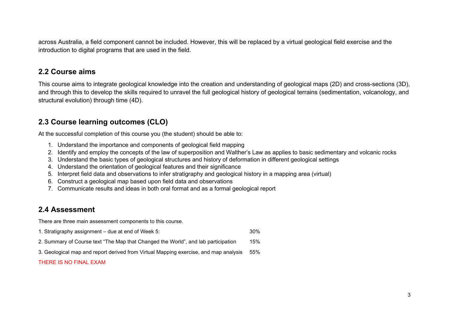across Australia, a field component cannot be included. However, this will be replaced by a virtual geological field exercise and the introduction to digital programs that are used in the field.

#### **2.2 Course aims**

This course aims to integrate geological knowledge into the creation and understanding of geological maps (2D) and cross-sections (3D), and through this to develop the skills required to unravel the full geological history of geological terrains (sedimentation, volcanology, and structural evolution) through time (4D).

### **2.3 Course learning outcomes (CLO)**

At the successful completion of this course you (the student) should be able to:

- 1. Understand the importance and components of geological field mapping
- 2. Identify and employ the concepts of the law of superposition and Walther's Law as applies to basic sedimentary and volcanic rocks
- 3. Understand the basic types of geological structures and history of deformation in different geological settings
- 4. Understand the orientation of geological features and their significance
- 5. Interpret field data and observations to infer stratigraphy and geological history in a mapping area (virtual)
- 6. Construct a geological map based upon field data and observations
- 7. Communicate results and ideas in both oral format and as a formal geological report

### **2.4 Assessment**

There are three main assessment components to this course.

- 1. Stratigraphy assignment due at end of Week 5: 30%
- 2. Summary of Course text "The Map that Changed the World", and lab participation 15%
- 3. Geological map and report derived from Virtual Mapping exercise, and map analysis 55%

#### THERE IS NO FINAL EXAM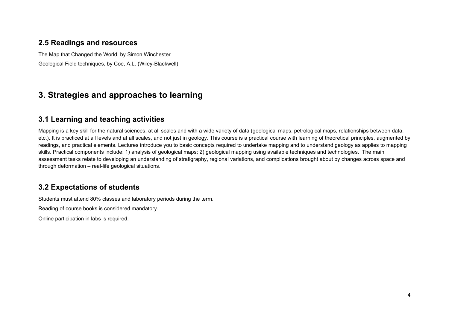#### **2.5 Readings and resources**

The Map that Changed the World, by Simon Winchester

Geological Field techniques, by Coe, A.L. (Wiley-Blackwell)

## **3. Strategies and approaches to learning**

#### **3.1 Learning and teaching activities**

Mapping is a key skill for the natural sciences, at all scales and with a wide variety of data (geological maps, petrological maps, relationships between data, etc.). It is practiced at all levels and at all scales, and not just in geology. This course is a practical course with learning of theoretical principles, augmented by readings, and practical elements. Lectures introduce you to basic concepts required to undertake mapping and to understand geology as applies to mapping skills. Practical components include: 1) analysis of geological maps; 2) geological mapping using available techniques and technologies. The main assessment tasks relate to developing an understanding of stratigraphy, regional variations, and complications brought about by changes across space and through deformation – real-life geological situations.

#### **3.2 Expectations of students**

Students must attend 80% classes and laboratory periods during the term.

Reading of course books is considered mandatory.

Online participation in labs is required.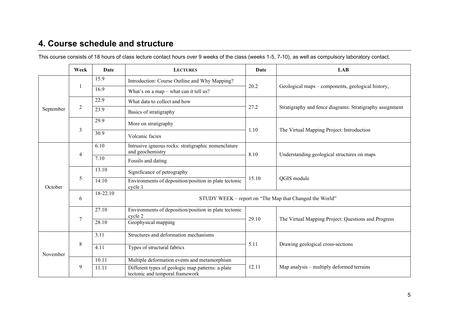## **4. Course schedule and structure**

| This course consists of 18 hours of class lecture contact hours over 9 weeks of the class (weeks 1-5, 7-10), as well as compulsory laboratory contact. |  |  |
|--------------------------------------------------------------------------------------------------------------------------------------------------------|--|--|
|--------------------------------------------------------------------------------------------------------------------------------------------------------|--|--|

|                                               | Week           | Date     | <b>LECTURES</b>                                                                      | Date  | LAB                                                      |  |
|-----------------------------------------------|----------------|----------|--------------------------------------------------------------------------------------|-------|----------------------------------------------------------|--|
| September                                     |                | 15.9     | Introduction: Course Outline and Why Mapping?                                        |       |                                                          |  |
|                                               |                | 16.9     | What's on a map - what can it tell us?                                               | 20.2  | Geological maps – components, geological history,        |  |
|                                               | $\overline{2}$ | 22.9     | What data to collect and how                                                         |       |                                                          |  |
|                                               |                | 23.9     | Basics of stratigraphy                                                               | 27.2  | Stratigraphy and fence diagrams: Stratigraphy assignment |  |
|                                               | $\overline{3}$ | 29.9     | More on stratigraphy                                                                 | 1.10  | The Virtual Mapping Project: Introduction                |  |
|                                               |                | 30.9     | Volcanic facies                                                                      |       |                                                          |  |
| $\overline{4}$<br>5<br>October<br>6<br>$\tau$ |                | 6.10     | Intrusive igneous rocks: stratigraphic nomenclature<br>and geochemistry              | 8.10  |                                                          |  |
|                                               |                | 7.10     | Fossils and dating                                                                   |       | Understanding geological structures on maps              |  |
|                                               |                | 13.10    | Significance of petrography                                                          |       |                                                          |  |
|                                               |                | 14.10    | Environments of deposition/position in plate tectonic<br>cycle 1                     | 15.10 | QGIS module                                              |  |
|                                               |                | 18-22.10 | STUDY WEEK – report on "The Map that Changed the World"                              |       |                                                          |  |
|                                               |                | 27.10    | Environments of deposition/position in plate tectonic<br>cycle 2                     | 29.10 | The Virtual Mapping Project: Questions and Progress      |  |
|                                               |                | 28.10    | Geophysical mapping                                                                  |       |                                                          |  |
| November                                      | $\,8\,$        | 3.11     | Structures and deformation mechanisms                                                |       |                                                          |  |
|                                               |                | 4.11     | Types of structural fabrics                                                          | 5.11  | Drawing geological cross-sections                        |  |
|                                               | 9              | 10.11    | Multiple deformation events and metamorphism                                         |       |                                                          |  |
|                                               |                | 11.11    | Different types of geologic map patterns: a plate<br>tectonic and temporal framework | 12.11 | Map analysis – multiply deformed terrains                |  |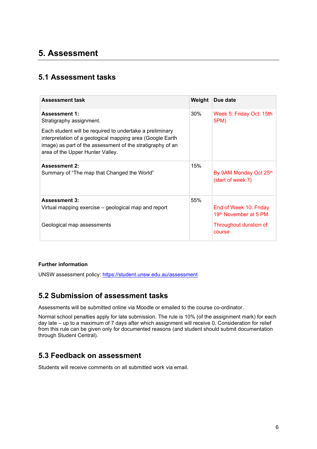## **5. Assessment**

### **5.1 Assessment tasks**

| <b>Assessment task</b>                                                                                                                                                                                                  | Weight | Due date                                        |
|-------------------------------------------------------------------------------------------------------------------------------------------------------------------------------------------------------------------------|--------|-------------------------------------------------|
| <b>Assessment 1:</b><br>Stratigraphy assignment.                                                                                                                                                                        | 30%    | Week 5: Friday Oct. 15th<br>5PM)                |
| Each student will be required to undertake a preliminary<br>interpretation of a geological mapping area (Google Earth<br>image) as part of the assessment of the stratigraphy of an<br>area of the Upper Hunter Valley. |        |                                                 |
| <b>Assessment 2:</b><br>Summary of "The map that Changed the World"                                                                                                                                                     | 15%    | By 9AM Monday Oct 25th<br>(start of week 7)     |
| <b>Assessment 3:</b><br>Virtual mapping exercise – geological map and report                                                                                                                                            | 55%    | End of Week 10: Friday<br>19th November at 5 PM |
| Geological map assessments                                                                                                                                                                                              |        | Throughout duration of<br>course                |

#### **Further information**

UNSW assessment policy:<https://student.unsw.edu.au/assessment>

#### **5.2 Submission of assessment tasks**

Assessments will be submitted online via Moodle or emailed to the course co-ordinator.

Normal school penalties apply for late submission. The rule is 10% (of the assignment mark) for each day late – up to a maximum of 7 days after which assignment will receive 0. Consideration for relief from this rule can be given only for documented reasons (and student should submit documentation through Student Central).

#### **5.3 Feedback on assessment**

Students will receive comments on all submitted work via email.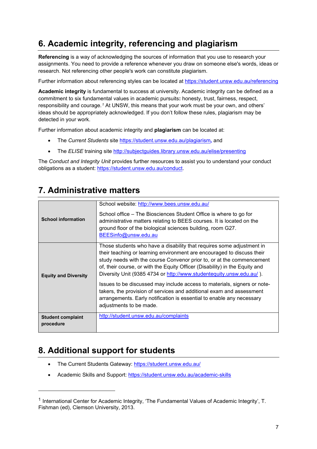## **6. Academic integrity, referencing and plagiarism**

**Referencing** is a way of acknowledging the sources of information that you use to research your assignments. You need to provide a reference whenever you draw on someone else's words, ideas or research. Not referencing other people's work can constitute plagiarism.

Further information about referencing styles can be located at <https://student.unsw.edu.au/referencing>

**Academic integrity** is fundamental to success at university. Academic integrity can be defined as a commitment to six fundamental values in academic pursuits**:** honesty, trust, fairness, respect, responsibility and courage.*[1](#page-6-0)* At UNSW, this means that your work must be your own, and others' ideas should be appropriately acknowledged. If you don't follow these rules, plagiarism may be detected in your work.

Further information about academic integrity and **plagiarism** can be located at:

- The *Current Students* site <https://student.unsw.edu.au/plagiarism>*,* and
- The *ELISE* training site <http://subjectguides.library.unsw.edu.au/elise/presenting>

The *Conduct and Integrity Unit* provides further resources to assist you to understand your conduct obligations as a student: [https://student.unsw.edu.au/conduct.](https://student.unsw.edu.au/conduct)

## **7. Administrative matters**

| <b>School information</b>             | School website: http://www.bees.unsw.edu.au/<br>School office – The Biosciences Student Office is where to go for<br>administrative matters relating to BEES courses. It is located on the<br>ground floor of the biological sciences building, room G27.<br>BEESinfo@unsw.edu.au                                                                                                                                                                                                                                                   |
|---------------------------------------|-------------------------------------------------------------------------------------------------------------------------------------------------------------------------------------------------------------------------------------------------------------------------------------------------------------------------------------------------------------------------------------------------------------------------------------------------------------------------------------------------------------------------------------|
| <b>Equity and Diversity</b>           | Those students who have a disability that requires some adjustment in<br>their teaching or learning environment are encouraged to discuss their<br>study needs with the course Convenor prior to, or at the commencement<br>of, their course, or with the Equity Officer (Disability) in the Equity and<br>Diversity Unit (9385 4734 or http://www.studentequity.unsw.edu.au/).<br>Issues to be discussed may include access to materials, signers or note-<br>takers, the provision of services and additional exam and assessment |
|                                       | arrangements. Early notification is essential to enable any necessary<br>adjustments to be made.                                                                                                                                                                                                                                                                                                                                                                                                                                    |
| <b>Student complaint</b><br>procedure | http://student.unsw.edu.au/complaints                                                                                                                                                                                                                                                                                                                                                                                                                                                                                               |

## **8. Additional support for students**

- The Current Students Gateway:<https://student.unsw.edu.au/>
- Academic Skills and Support:<https://student.unsw.edu.au/academic-skills>

<span id="page-6-0"></span><sup>1</sup> International Center for Academic Integrity, 'The Fundamental Values of Academic Integrity', T. Fishman (ed), Clemson University, 2013.